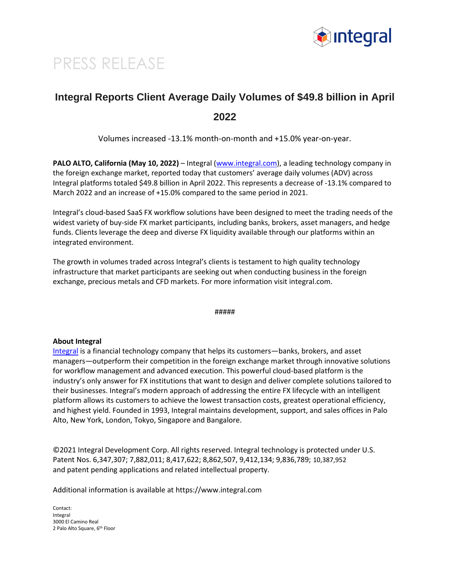

## PRESS RELEASE

## **Integral Reports Client Average Daily Volumes of \$49.8 billion in April 2022**

Volumes increased -13.1% month-on-month and +15.0% year-on-year.

**PALO ALTO, California (May 10, 2022)** – Integral [\(www.integral.com\)](http://www.integral.com/), a leading technology company in the foreign exchange market, reported today that customers' average daily volumes (ADV) across Integral platforms totaled \$49.8 billion in April 2022. This represents a decrease of -13.1% compared to March 2022 and an increase of +15.0% compared to the same period in 2021.

Integral's cloud-based SaaS FX workflow solutions have been designed to meet the trading needs of the widest variety of buy-side FX market participants, including banks, brokers, asset managers, and hedge funds. Clients leverage the deep and diverse FX liquidity available through our platforms within an integrated environment.

The growth in volumes traded across Integral's clients is testament to high quality technology infrastructure that market participants are seeking out when conducting business in the foreign exchange, precious metals and CFD markets. For more information visit integral.com.

#####

## **About Integral**

[Integral](https://www.integral.com/ocx/) is a financial technology company that helps its customers—banks, brokers, and asset managers—outperform their competition in the foreign exchange market through innovative solutions for workflow management and advanced execution. This powerful cloud-based platform is the industry's only answer for FX institutions that want to design and deliver complete solutions tailored to their businesses. Integral's modern approach of addressing the entire FX lifecycle with an intelligent platform allows its customers to achieve the lowest transaction costs, greatest operational efficiency, and highest yield. Founded in 1993, Integral maintains development, support, and sales offices in Palo Alto, New York, London, Tokyo, Singapore and Bangalore.

©2021 Integral Development Corp. All rights reserved. Integral technology is protected under U.S. Patent Nos. 6,347,307; 7,882,011; 8,417,622; 8,862,507, 9,412,134; 9,836,789; 10,387,952 and patent pending applications and related intellectual property.

Additional information is available at https://www.integral.com

Contact: Integral 3000 El Camino Real 2 Palo Alto Square, 6th Floor